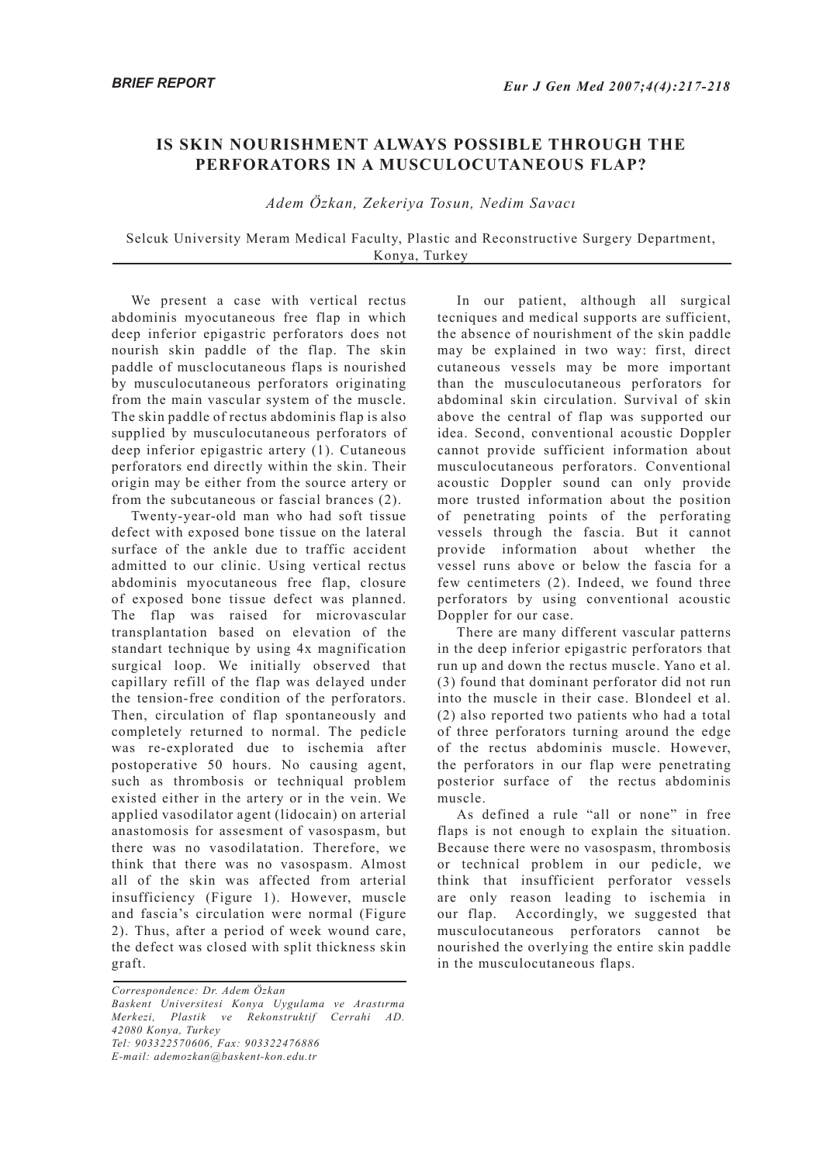## **IS SKIN NOURISHMENT ALWAYS POSSIBLE THROUGH THE PERFORATORS IN A MUSCULOCUTANEOUS FLAP?**

## *Adem Özkan, Zekeriya Tosun, Nedim Savacı*

## Selcuk University Meram Medical Faculty, Plastic and Reconstructive Surgery Department, Konya, Turkey

We present a case with vertical rectus abdominis myocutaneous free flap in which deep inferior epigastric perforators does not nourish skin paddle of the flap. The skin paddle of musclocutaneous flaps is nourished by musculocutaneous perforators originating from the main vascular system of the muscle. The skin paddle of rectus abdominis flap is also supplied by musculocutaneous perforators of deep inferior epigastric artery (1). Cutaneous perforators end directly within the skin. Their origin may be either from the source artery or from the subcutaneous or fascial brances (2).

Twenty-year-old man who had soft tissue defect with exposed bone tissue on the lateral surface of the ankle due to traffic accident admitted to our clinic. Using vertical rectus abdominis myocutaneous free flap, closure of exposed bone tissue defect was planned. The flap was raised for microvascular transplantation based on elevation of the standart technique by using 4x magnification surgical loop. We initially observed that capillary refill of the flap was delayed under the tension-free condition of the perforators. Then, circulation of flap spontaneously and completely returned to normal. The pedicle was re-explorated due to ischemia after postoperative 50 hours. No causing agent, such as thrombosis or techniqual problem existed either in the artery or in the vein. We applied vasodilator agent (lidocain) on arterial anastomosis for assesment of vasospasm, but there was no vasodilatation. Therefore, we think that there was no vasospasm. Almost all of the skin was affected from arterial insufficiency (Figure 1). However, muscle and fascia's circulation were normal (Figure 2). Thus, after a period of week wound care, the defect was closed with split thickness skin graft.

*Correspondence: Dr. Adem Özkan Baskent Universitesi Konya Uygulama ve Arastırma Merkezi, Plastik ve Rekonstruktif Cerrahi AD. 42080 Konya, Turkey Tel: 903322570606, Fax: 903322476886 E-mail: ademozkan@baskent-kon.edu.tr*

In our patient, although all surgical tecniques and medical supports are sufficient, the absence of nourishment of the skin paddle may be explained in two way: first, direct cutaneous vessels may be more important than the musculocutaneous perforators for abdominal skin circulation. Survival of skin above the central of flap was supported our idea. Second, conventional acoustic Doppler cannot provide sufficient information about musculocutaneous perforators. Conventional acoustic Doppler sound can only provide more trusted information about the position of penetrating points of the perforating vessels through the fascia. But it cannot provide information about whether the vessel runs above or below the fascia for a few centimeters (2). Indeed, we found three perforators by using conventional acoustic Doppler for our case.

There are many different vascular patterns in the deep inferior epigastric perforators that run up and down the rectus muscle. Yano et al. (3) found that dominant perforator did not run into the muscle in their case. Blondeel et al. (2) also reported two patients who had a total of three perforators turning around the edge of the rectus abdominis muscle. However, the perforators in our flap were penetrating posterior surface of the rectus abdominis muscle.

As defined a rule "all or none" in free flaps is not enough to explain the situation. Because there were no vasospasm, thrombosis or technical problem in our pedicle, we think that insufficient perforator vessels are only reason leading to ischemia in our flap. Accordingly, we suggested that musculocutaneous perforators cannot be nourished the overlying the entire skin paddle in the musculocutaneous flaps.